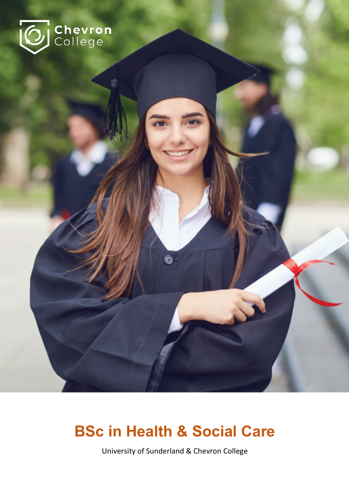

# **BSc in Health & Social Care**

 $\hat{\mathbf{e}}$ 

University of Sunderland & Chevron College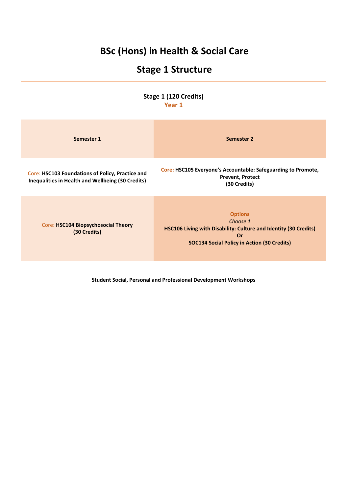## **BSc (Hons) in Health & Social Care**

## **Stage 1 Structure**

**Stage 1 (120 Credits) Year 1**

| __ |  |
|----|--|
|    |  |

| Semester 1                                                                                            | Semester 2                                                                                                                                                 |
|-------------------------------------------------------------------------------------------------------|------------------------------------------------------------------------------------------------------------------------------------------------------------|
| Core: HSC103 Foundations of Policy, Practice and<br>Inequalities in Health and Wellbeing (30 Credits) | Core: HSC105 Everyone's Accountable: Safeguarding to Promote,<br><b>Prevent, Protect</b><br>(30 Credits)                                                   |
| Core: HSC104 Biopsychosocial Theory<br>(30 Credits)                                                   | <b>Options</b><br>Choose 1<br>HSC106 Living with Disability: Culture and Identity (30 Credits)<br>Or<br><b>SOC134 Social Policy in Action (30 Credits)</b> |

**Student Social, Personal and Professional Development Workshops**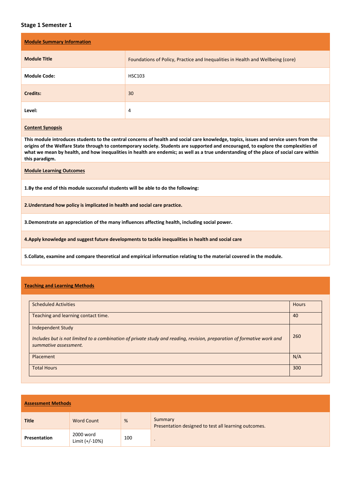## **Stage 1 Semester 1**

| <b>Module Summary Information</b> |                                                                                 |  |  |
|-----------------------------------|---------------------------------------------------------------------------------|--|--|
| <b>Module Title</b>               | Foundations of Policy, Practice and Inequalities in Health and Wellbeing (core) |  |  |
| <b>Module Code:</b>               | <b>HSC103</b>                                                                   |  |  |
| <b>Credits:</b>                   | 30                                                                              |  |  |
| Level:                            | 4                                                                               |  |  |

#### **Content Synopsis**

**This module introduces students to the central concerns of health and social care knowledge, topics, issues and service users from the origins of the Welfare State through to contemporary society. Students are supported and encouraged, to explore the complexities of what we mean by health, and how inequalities in health are endemic; as well as a true understanding of the place of social care within this paradigm.**

**Module Learning Outcomes**

**1.By the end of this module successful students will be able to do the following:**

**2.Understand how policy is implicated in health and social care practice.**

**3.Demonstrate an appreciation of the many influences affecting health, including social power.**

**4.Apply knowledge and suggest future developments to tackle inequalities in health and social care**

**5.Collate, examine and compare theoretical and empirical information relating to the material covered in the module.**

#### **Teaching and Learning Methods**

| <b>Scheduled Activities</b>                                                                                                                                                 | <b>Hours</b> |
|-----------------------------------------------------------------------------------------------------------------------------------------------------------------------------|--------------|
| Teaching and learning contact time.                                                                                                                                         | 40           |
| <b>Independent Study</b><br>Includes but is not limited to a combination of private study and reading, revision, preparation of formative work and<br>summative assessment. | 260          |
| Placement                                                                                                                                                                   | N/A          |
| <b>Total Hours</b>                                                                                                                                                          | 300          |

| <b>Assessment Methods</b> |                             |     |                                                                 |
|---------------------------|-----------------------------|-----|-----------------------------------------------------------------|
| <b>Title</b>              | <b>Word Count</b>           | %   | Summary<br>Presentation designed to test all learning outcomes. |
| <b>Presentation</b>       | 2000 word<br>Limit (+/-10%) | 100 |                                                                 |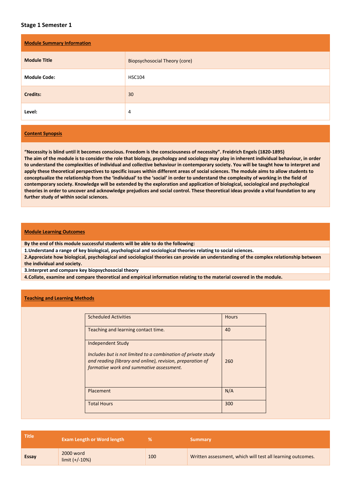## **Stage 1 Semester 1**

| <b>Module Summary Information</b> |                                      |  |  |
|-----------------------------------|--------------------------------------|--|--|
| <b>Module Title</b>               | <b>Biopsychosocial Theory (core)</b> |  |  |
| <b>Module Code:</b>               | <b>HSC104</b>                        |  |  |
| <b>Credits:</b>                   | 30                                   |  |  |
| Level:                            | $\overline{4}$                       |  |  |

## **Content Synopsis**

**"Necessity is blind until it becomes conscious. Freedom is the consciousness of necessity". Freidrich Engels (1820-1895) The aim of the module is to consider the role that biology, psychology and sociology may play in inherent individual behaviour, in order to understand the complexities of individual and collective behaviour in contemporary society. You will be taught how to interpret and apply these theoretical perspectives to specific issues within different areas of social sciences. The module aims to allow students to conceptualize the relationship from the 'individual' to the 'social' in order to understand the complexity of working in the field of contemporary society. Knowledge will be extended by the exploration and application of biological, sociological and psychological theories in order to uncover and acknowledge prejudices and social control. These theoretical ideas provide a vital foundation to any further study of within social sciences.**

#### **Module Learning Outcomes**

**By the end of this module successful students will be able to do the following:**

**1.Understand a range of key biological, psychological and sociological theories relating to social sciences.**

**2.Appreciate how biological, psychological and sociological theories can provide an understanding of the complex relationship between the individual and society.**

**3.Interpret and compare key biopsychosocial theory** 

**4.Collate, examine and compare theoretical and empirical information relating to the material covered in the module.**

#### **Teaching and Learning Methods**

| <b>Scheduled Activities</b>                                                                                                                             | <b>Hours</b> |
|---------------------------------------------------------------------------------------------------------------------------------------------------------|--------------|
| Teaching and learning contact time.                                                                                                                     | 40           |
| <b>Independent Study</b><br>Includes but is not limited to a combination of private study<br>and reading (library and online), revision, preparation of | 260          |
| formative work and summative assessment.                                                                                                                |              |
| Placement                                                                                                                                               | N/A          |
| <b>Total Hours</b>                                                                                                                                      | 300          |

| <b>Title</b> | <b>Exam Length or Word length</b> |     | <b>Summary</b>                                             |
|--------------|-----------------------------------|-----|------------------------------------------------------------|
| Essay        | 2000 word<br>$limit (+/-10%)$     | 100 | Written assessment, which will test all learning outcomes. |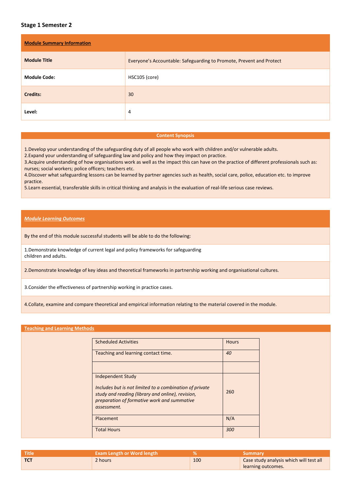## **Stage 1 Semester 2**

| <b>Module Summary Information</b> |                                                                      |  |  |  |
|-----------------------------------|----------------------------------------------------------------------|--|--|--|
| <b>Module Title</b>               | Everyone's Accountable: Safeguarding to Promote, Prevent and Protect |  |  |  |
| <b>Module Code:</b>               | HSC105 (core)                                                        |  |  |  |
| <b>Credits:</b>                   | 30                                                                   |  |  |  |
| Level:                            | 4                                                                    |  |  |  |

#### **Content Synopsis**

1.Develop your understanding of the safeguarding duty of all people who work with children and/or vulnerable adults.

2.Expand your understanding of safeguarding law and policy and how they impact on practice.

3.Acquire understanding of how organisations work as well as the impact this can have on the practice of different professionals such as: nurses; social workers; police officers; teachers etc.

4.Discover what safeguarding lessons can be learned by partner agencies such as health, social care, police, education etc. to improve practice.

5.Learn essential, transferable skills in critical thinking and analysis in the evaluation of real-life serious case reviews.

#### *Module Learning Outcomes*

By the end of this module successful students will be able to do the following:

1.Demonstrate knowledge of current legal and policy frameworks for safeguarding children and adults.

2.Demonstrate knowledge of key ideas and theoretical frameworks in partnership working and organisational cultures.

3.Consider the effectiveness of partnership working in practice cases.

4.Collate, examine and compare theoretical and empirical information relating to the material covered in the module.

#### **Teaching and Learning Methods**

| <b>Scheduled Activities</b>                                                                                                                                                                            | <b>Hours</b> |
|--------------------------------------------------------------------------------------------------------------------------------------------------------------------------------------------------------|--------------|
| Teaching and learning contact time.                                                                                                                                                                    | 40           |
|                                                                                                                                                                                                        |              |
| <b>Independent Study</b><br>Includes but is not limited to a combination of private<br>study and reading (library and online), revision,<br>preparation of formative work and summative<br>assessment. | 260          |
| Placement                                                                                                                                                                                              | N/A          |
| <b>Total Hours</b>                                                                                                                                                                                     | 300          |

| . Title    | Exam Length or Word length |     | Summary                                 |
|------------|----------------------------|-----|-----------------------------------------|
| <b>TCT</b> | 2 hours                    | 100 | Case study analysis which will test all |
|            |                            |     | learning outcomes.                      |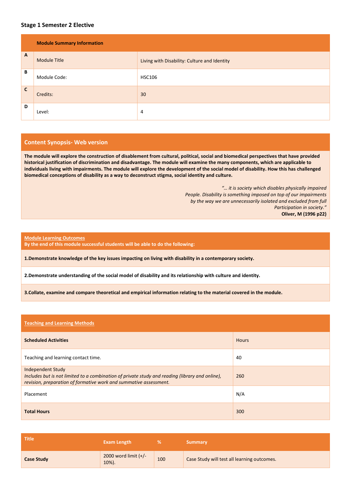## **Stage 1 Semester 2 Elective**

|              | <b>Module Summary Information</b> |                                              |  |
|--------------|-----------------------------------|----------------------------------------------|--|
| $\mathbf{A}$ | <b>Module Title</b>               | Living with Disability: Culture and Identity |  |
| В            | Module Code:                      | <b>HSC106</b>                                |  |
| $\mathsf{C}$ | Credits:                          | 30                                           |  |
| D            | Level:                            | 4                                            |  |

### **Content Synopsis- Web version**

**The module will explore the construction of disablement from cultural, political, social and biomedical perspectives that have provided historical justification of discrimination and disadvantage. The module will examine the many components, which are applicable to individuals living with impairments. The module will explore the development of the social model of disability. How this has challenged biomedical conceptions of disability as a way to deconstruct stigma, social identity and culture.** 

> *"… it is society which disables physically impaired People. Disability is something imposed on top of our impairments by the way we are unnecessarily isolated and excluded from full Participation in society."*  **Oliver, M (1996 p22)**

#### **Module Learning Outcomes**

**By the end of this module successful students will be able to do the following:**

**1.Demonstrate knowledge of the key issues impacting on living with disability in a contemporary society.**

**2.Demonstrate understanding of the social model of disability and its relationship with culture and identity.**

**3.Collate, examine and compare theoretical and empirical information relating to the material covered in the module.**

| <b>Teaching and Learning Methods</b>                                                                                                                                                             |              |
|--------------------------------------------------------------------------------------------------------------------------------------------------------------------------------------------------|--------------|
| <b>Scheduled Activities</b>                                                                                                                                                                      | <b>Hours</b> |
| Teaching and learning contact time.                                                                                                                                                              | 40           |
| <b>Independent Study</b><br>Includes but is not limited to a combination of private study and reading (library and online),<br>revision, preparation of formative work and summative assessment. | 260          |
| Placement                                                                                                                                                                                        | N/A          |
| <b>Total Hours</b>                                                                                                                                                                               | 300          |

| <b>Title</b>      | <b>Exam Length</b>                   |     | <b>Summary</b>                              |
|-------------------|--------------------------------------|-----|---------------------------------------------|
| <b>Case Study</b> | 2000 word limit $(+/-)$<br>$10\%$ ). | 100 | Case Study will test all learning outcomes. |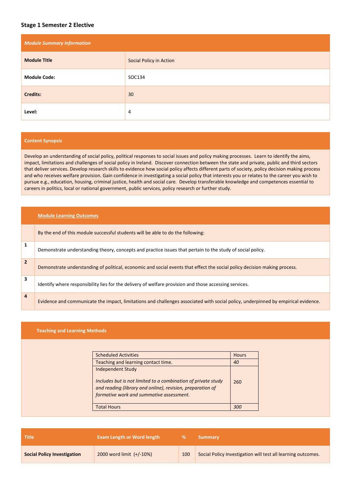## **Stage 1 Semester 2 Elective**

| <b>Module Summary Information</b> |                         |  |
|-----------------------------------|-------------------------|--|
| <b>Module Title</b>               | Social Policy in Action |  |
| <b>Module Code:</b>               | SOC134                  |  |
| <b>Credits:</b>                   | 30                      |  |
| Level:                            | 4                       |  |

#### **Content Synopsis**

Develop an understanding of social policy, political responses to social issues and policy making processes. Learn to identify the aims, impact, limitations and challenges of social policy in Ireland. Discover connection between the state and private, public and third sectors that deliver services. Develop research skills to evidence how social policy affects different parts of society, policy decision making process and who receives welfare provision. Gain confidence in investigating a social policy that interests you or relates to the career you wish to pursue e.g., education, housing, criminal justice, health and social care. Develop transferable knowledge and competences essential to careers in politics, local or national government, public services, policy research or further study.

|                | <b>Module Learning Outcomes</b>                                                                                                   |
|----------------|-----------------------------------------------------------------------------------------------------------------------------------|
|                | By the end of this module successful students will be able to do the following:                                                   |
| 1              | Demonstrate understanding theory, concepts and practice issues that pertain to the study of social policy.                        |
| $\overline{2}$ | Demonstrate understanding of political, economic and social events that effect the social policy decision making process.         |
| 3              | Identify where responsibility lies for the delivery of welfare provision and those accessing services.                            |
| 4              | Evidence and communicate the impact, limitations and challenges associated with social policy, underpinned by empirical evidence. |

### **Teaching and Learning Methods**

n Tin

| <b>Scheduled Activities</b>                                                                                                                                                                         | <b>Hours</b> |
|-----------------------------------------------------------------------------------------------------------------------------------------------------------------------------------------------------|--------------|
| Teaching and learning contact time.                                                                                                                                                                 | 40           |
| <b>Independent Study</b><br>Includes but is not limited to a combination of private study<br>and reading (library and online), revision, preparation of<br>formative work and summative assessment. | 260          |
| <b>Total Hours</b>                                                                                                                                                                                  | 30C          |

| <b>Title</b>                       | <b>Exam Length or Word length</b> |     | <b>Summary</b>                                               |
|------------------------------------|-----------------------------------|-----|--------------------------------------------------------------|
| <b>Social Policy Investigation</b> | 2000 word limit (+/-10%)          | 100 | Social Policy Investigation will test all learning outcomes. |